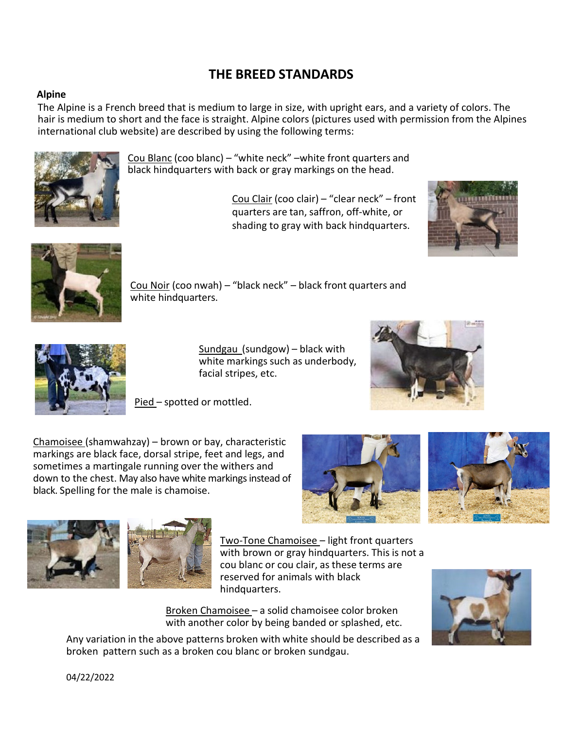# **THE BREED STANDARDS**

# **Alpine**

The Alpine is a French breed that is medium to large in size, with upright ears, and a variety of colors. The hair is medium to short and the face is straight. Alpine colors (pictures used with permission from the Alpines international club website) are described by using the following terms:



Cou Blanc (coo blanc) – "white neck" –white front quarters and black hindquarters with back or gray markings on the head.

> Cou Clair (coo clair) – "clear neck" – front quarters are tan, saffron, off-white, or shading to gray with back hindquarters.





Cou Noir (coo nwah) – "black neck" – black front quarters and white hindquarters.



Sundgau (sundgow) – black with white markings such as underbody,

facial stripes, etc.



Pied – spotted or mottled.

Chamoisee (shamwahzay) – brown or bay, characteristic markings are black face, dorsal stripe, feet and legs, and sometimes a martingale running over the withers and down to the chest. May also have white markings instead of black. Spelling for the male is chamoise.







Two-Tone Chamoisee – light front quarters with brown or gray hindquarters. This is not a cou blanc or cou clair, as these terms are reserved for animals with black hindquarters.

Broken Chamoisee – a solid chamoisee color broken with another color by being banded or splashed, etc.

Any variation in the above patterns broken with white should be described as a broken pattern such as a broken cou blanc or broken sundgau.



04/22/2022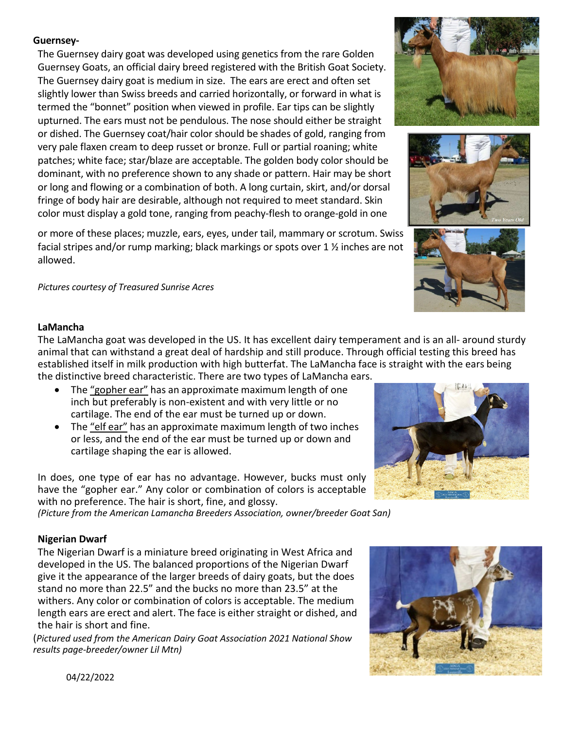# **Guernsey-**

The Guernsey dairy goat was developed using genetics from the rare Golden Guernsey Goats, an official dairy breed registered with the British Goat Society. The Guernsey dairy goat is medium in size. The ears are erect and often set slightly lower than Swiss breeds and carried horizontally, or forward in what is termed the "bonnet" position when viewed in profile. Ear tips can be slightly upturned. The ears must not be pendulous. The nose should either be straight or dished. The Guernsey coat/hair color should be shades of gold, ranging from very pale flaxen cream to deep russet or bronze. Full or partial roaning; white patches; white face; star/blaze are acceptable. The golden body color should be dominant, with no preference shown to any shade or pattern. Hair may be short or long and flowing or a combination of both. A long curtain, skirt, and/or dorsal fringe of body hair are desirable, although not required to meet standard. Skin color must display a gold tone, ranging from peachy-flesh to orange-gold in one

or more of these places; muzzle, ears, eyes, under tail, mammary or scrotum. Swiss facial stripes and/or rump marking; black markings or spots over 1 ½ inches are not allowed.

*Pictures courtesy of Treasured Sunrise Acres*





### **LaMancha**

The LaMancha goat was developed in the US. It has excellent dairy temperament and is an all- around sturdy animal that can withstand a great deal of hardship and still produce. Through official testing this breed has established itself in milk production with high butterfat. The LaMancha face is straight with the ears being the distinctive breed characteristic. There are two types of LaMancha ears.

- The "gopher ear" has an approximate maximum length of one inch but preferably is non-existent and with very little or no cartilage. The end of the ear must be turned up or down.
- The "elf ear" has an approximate maximum length of two inches or less, and the end of the ear must be turned up or down and cartilage shaping the ear is allowed.

In does, one type of ear has no advantage. However, bucks must only have the "gopher ear." Any color or combination of colors is acceptable with no preference. The hair is short, fine, and glossy.

*(Picture from the American Lamancha Breeders Association, owner/breeder Goat San)* 

# **Nigerian Dwarf**

The Nigerian Dwarf is a miniature breed originating in West Africa and developed in the US. The balanced proportions of the Nigerian Dwarf give it the appearance of the larger breeds of dairy goats, but the does stand no more than 22.5" and the bucks no more than 23.5" at the withers. Any color or combination of colors is acceptable. The medium length ears are erect and alert. The face is either straight or dished, and the hair is short and fine.

(*Pictured used from the American Dairy Goat Association 2021 National Show results page-breeder/owner Lil Mtn)* 





04/22/2022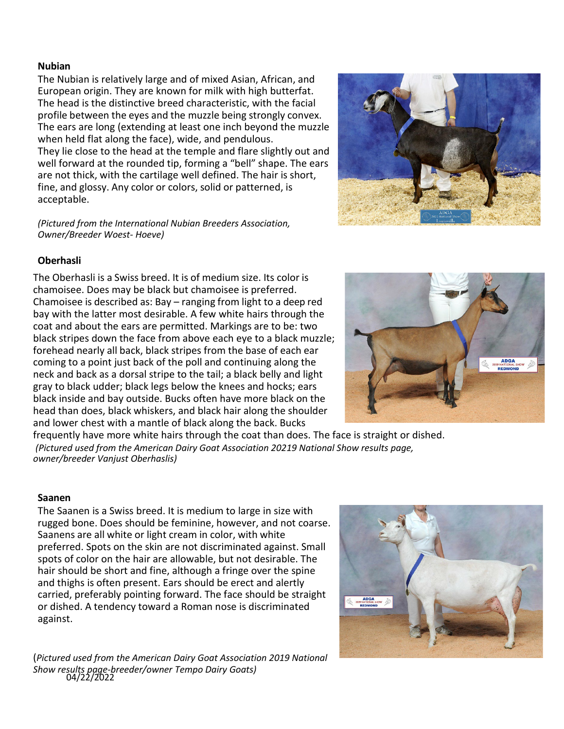#### **Nubian**

The Nubian is relatively large and of mixed Asian, African, and European origin. They are known for milk with high butterfat. The head is the distinctive breed characteristic, with the facial profile between the eyes and the muzzle being strongly convex. The ears are long (extending at least one inch beyond the muzzle when held flat along the face), wide, and pendulous. They lie close to the head at the temple and flare slightly out and well forward at the rounded tip, forming a "bell" shape. The ears are not thick, with the cartilage well defined. The hair is short, fine, and glossy. Any color or colors, solid or patterned, is acceptable.

*(Pictured from the International Nubian Breeders Association, Owner/Breeder Woest- Hoeve)*



# **Oberhasli**

The Oberhasli is a Swiss breed. It is of medium size. Its color is chamoisee. Does may be black but chamoisee is preferred. Chamoisee is described as: Bay – ranging from light to a deep red bay with the latter most desirable. A few white hairs through the coat and about the ears are permitted. Markings are to be: two black stripes down the face from above each eye to a black muzzle; forehead nearly all back, black stripes from the base of each ear coming to a point just back of the poll and continuing along the neck and back as a dorsal stripe to the tail; a black belly and light gray to black udder; black legs below the knees and hocks; ears black inside and bay outside. Bucks often have more black on the head than does, black whiskers, and black hair along the shoulder and lower chest with a mantle of black along the back. Bucks



frequently have more white hairs through the coat than does. The face is straight or dished. *(Pictured used from the American Dairy Goat Association 20219 National Show results page, owner/breeder Vanjust Oberhaslis)*

#### **Saanen**

The Saanen is a Swiss breed. It is medium to large in size with rugged bone. Does should be feminine, however, and not coarse. Saanens are all white or light cream in color, with white preferred. Spots on the skin are not discriminated against. Small spots of color on the hair are allowable, but not desirable. The hair should be short and fine, although a fringe over the spine and thighs is often present. Ears should be erect and alertly carried, preferably pointing forward. The face should be straight or dished. A tendency toward a Roman nose is discriminated against.



04/22/2022 (*Pictured used from the American Dairy Goat Association 2019 National Show results page-breeder/owner Tempo Dairy Goats)*